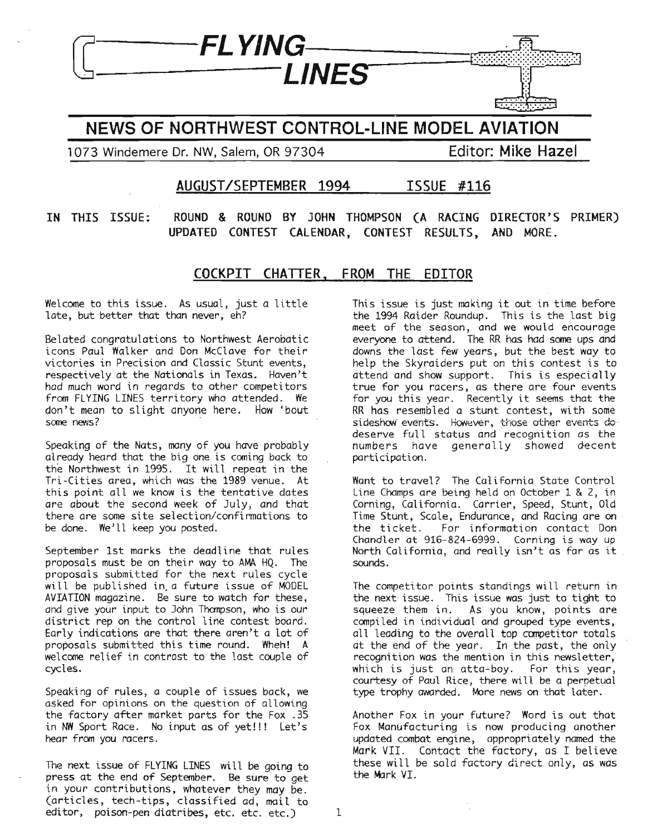# **NEWS OF NORTHWEST CONTROL-LINE MODEL AVIATION**

**LINES** 

1073 Windemere Dr. NW, Salem, OR 97304 **Editor: Mike Hazel**

**f7---FL YING**

F.

## **AUGUST/SEPTEMBER 1994 ISSUE #116**

**IN THIS ISSUE: ROUND & ROUND BY JOHN THOMPSON (A RACING DIRECTOR'S PRIMER) UPDATED CONTEST CALENDAR, CONTEST RESULTS, AND MORE.**

## **COCKPIT CHATTER, FROM THE EDITOR**

Welcome to this issue. As usual, just a little late, but better that than never, eh?

Belated congratulations to Northwest Aerobatic icons Paul Walker and Don McClave for their victories in Precision and Classic Stunt events, respectively at the Nationals in Texas. Haven't had much word in regards to other competitors from FLYING LINES territory who attended. We don't mean to slight anyone here. How 'bout some news?

Speaking of the Nats, many of you have probably already heard that the big one is coming back to the Northwest in 1995. It will repeat in the Tri-Cities area, which was the 1989 venue. At this point all we know is the tentative dates are about the second week of July, and that there are some site selection/confirmations to be done. We'll keep you posted.

September 1st marks the deadline that rules proposals must be on their way to AMA HQ. The proposals submitted for the next rules cycle will be published in. a future issue of MODEL AVIATION magazine. Be sure to watch for these, and give your input to John Thompson, who is our district rep on the control line contest board. Early indications are that there aren't a lot of proposals submitted this time round. Wheh! A welcome relief in contrast to the last couple of cycles.

Speaking of rules, a couple of issues back, we asked for opinions on the question of allowing the factory after market parts for the Fox .35 in NW Sport Race. No input as of yet!!! Let's hear from you racers.

The next issue of FLYING LINES will be going to press at the end of September. Be sure to get in your contributions, whatever they may be. (articles, tech-tips, classified ad, mail to editor, poison-pen diatribes, etc. etc. etc.)  $1$  This issue is just making *it* out in time before the 1994 Raider Roundup. This is the last big meet of the season, and we would encourage everyone to attend. The RR has had some ups and downs the last few years, but the best way to help the Skyraiders put on this contest is to attend and show support. This is especially true for you racers, as there are four events for you this year. Recently it seems that the RR has resembled a stunt contest, with some sideshow-events. However, those other events dodeserve full status and recognition as the numbers have generally showed decent participation.

Want to travel? The California State Control Line Champs are being held on October 1 & 2, in Corning, California. Carrier, Speed, Stunt, Old Time Stunt, Scale, Endurance, and Racing are on the ticket. For information contact Don For information contact Don Chandler at 916-824-6999. Corning *is* way up North California, and really isn't as far as it sounds.

The competitor points standings will return in the next issue. This issue was just to tight to squeeze them in. As you know, points are compiled in individual and grouped type events, all leading to the overall top competitor totals at the end of the year. In the past, the only recognition was the mention in this newsletter, which is just an atta-boy. For this year, courtesy of Paul Rice, there will be a perpetual type trophy awarded. More news on that later.

Another Fox in your future? Word is out that Fox Manufacturing is now producing another updated combat engine, appropriately named the Mark VII. Contact the factory, as I believe these will be sold factory direct only, as was the Mark VI.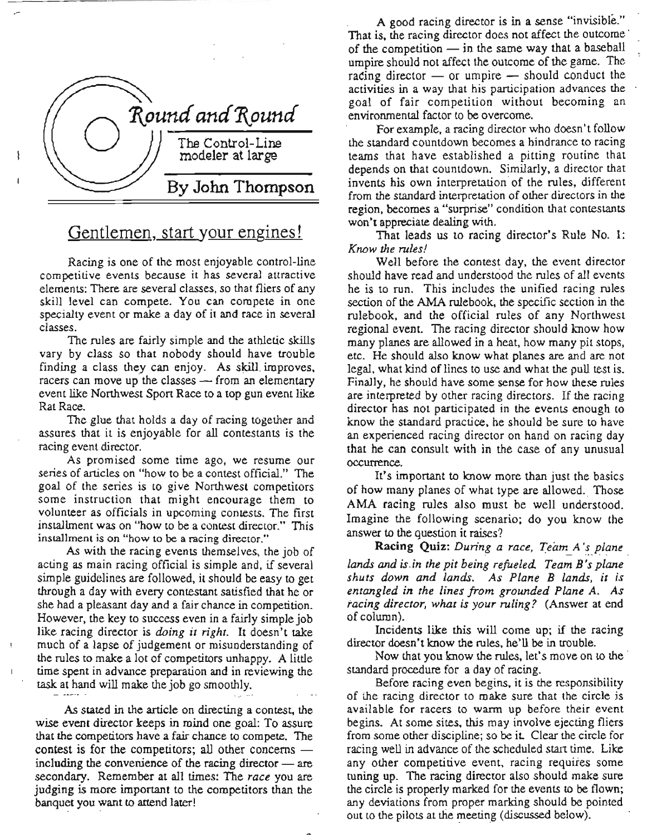

# Gentlemen, start your engines!

Racing is one of the most enjoyable control-line competitive events because it has several attractive elements: There are several classes, so that fliers of any skill level can compete. You can compete in one specialty event or make a day of it and race in several classes.

The rules are fairly simple and the athletic skills vary by class so that nobody should have trouble finding a class they can enjoy. As skill improves, racers can move up the classes — from an elementary event like Northwest Sport Race to a top gun event like Rat Race.

The glue that holds a day of racing together and assures that it is enjoyable for all contestants is the racing event director.

As promised some time ago, we resume our series of articles on "how to be a contest official." The goal of the series is to give Northwest competitors some instruction that might encourage them to volunteer as officials in upcoming contests. The first installment was on "how to be a contest director." This installment is on "how to be a racing director."

As with the racing events themselves, the job of acting as main racing official is simple and, if several simple guidelines are followed, it should be easy to get through a day with every contestant satisfied that he or she had a pleasant day and a fair chance in competition. However, the key to success even in a fairly simple job like racing director is *doing it right.* It doesn't take much of a lapse of judgement or misunderstanding of the rules to make a lot of competitors unhappy. A little time spent in advance preparation and in reviewing the task at hand will make the job go smoothly.

As stated in the article on directing a contest, the wise event director keeps in mind one goal: To assure that the competitors have a fair chance to compete. The contest is for the competitors; all other concerns  $$ including the convenience of the racing director  $-$  are secondary. Remember at all times: The *race* you are judging is more important to the competitors than the banquet you want to attend later!

A good racing director is in a sense "invisible." That is, the racing director does not affect the outcome' of the competition  $\frac{1}{\sqrt{2}}$  in the same way that a baseball umpire should not affect the outcome of the game. The rating director  $-$  or umpire  $-$  should conduct the activities in a way that his participation advances the goal of fair competition without becoming an environmental factor to be overcome.

For example, a racing director who doesn't follow the standard countdown becomes a hindrance to racing teams that have established a pitting routine that depends on that countdown. Similarly, a director that invents his own interpretation of the rules, different from the standard interpretation of other directors in the region, becomes a "surprise" condition that contestants won't appreciate dealing with.

That leads us to racing director's Rule No. 1: *Know the rules!*

Well before the contest day, the event director should have read and understood the rules of all events he is to run. This includes the unified racing rules section of the AMA rulebook, the specific section in the rulebook, and the official rules of any Northwest regional event. The racing director should know how many planes are allowed in a heat, how many pit stops, etc. He should also know what planes are and are not legal, what kind of lines to use and what the pull test is. Finally, he should have some sense for how these rules are interpreted by other racing directors. If the racing director has not participated in the events enough to know me standard practice, he should be sure to have an experienced racing director on hand on racing day that he can consult with in the case of any unusual occurrence.

It's important to know more than just the basics of how many planes of what type are allowed.. Those AMA racing rules also must be well understood. Imagine the following scenario; do you know the answer to the question it raises?

Racing Quiz: *During a race, Team A's plane lands and is.in the pit being refueled. Team B's plane shuts down and lands. As Plane B lands, it is entangled in the lines from grounded Plane A. As racing director, what is your ruling?* (Answer at end of column).

Incidents like this will come up; if the racing director doesn't know the rules, he'll be in trouble.

Now that you know the rules, let's move on to the standard procedure for a day of racing.

Before racing even begins, it is the responsibility of the racing director to make sure that the circle is available for racers to warm up before their event begins. At some sites, this may involve ejecting fliers from some other discipline; so be it Clear the circle for racing well in advance of the scheduled start time. Like any other competitive event, racing requires some tuning up. The racing director also should make sure the circle is properly marked for the events to be flown; any deviations from proper marking should be pointed out to the pilots at the meeting (discussed below).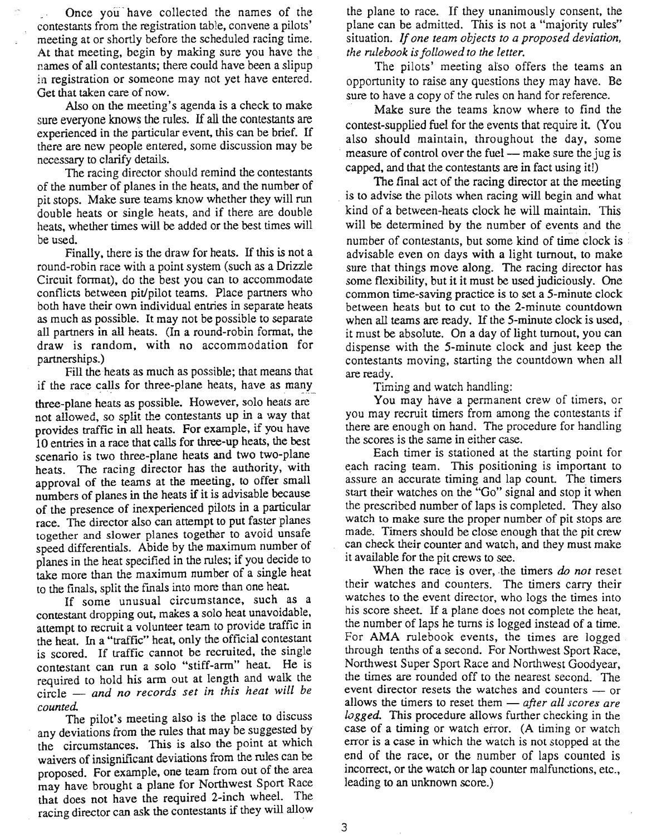Once you' have collected the names of the contestants from the registration table, convene a pilots' meeting at or shortly before the scheduled racing time. At that meeting, begin by making sure you have the names of all contestants; there could have been a slipup in registration or someone may not yet have entered. Get that taken care of now.

Also on the meeting's agenda is a check to make sure everyone knows the rules. If all the contestants are experienced in the particular event. this can be brief. If there are new people entered, some discussion may be necessary to clarify details.

The racing director should remind the contestants of the number of planes in the heats, and the number of pit stops. Make sure teams know whether they will run double heats or single heats, and if there are double heats, whether times will be added or the best times will be used.

Finally, there is the draw for heats. If this is not a round-robin race with a point system (such as a Drizzle Circuit format), do the best you can to accommodate conflicts between pit/pilot teams. Place partners who both have their own individual entries in separate heats as much as possible. It may not be possible to separate all partners in all heats. (In a round-robin format, the draw is random, with no accommodation for partnerships.)

Fill the heats as much as possible; that means that if the race calls for three-plane heats, have as many three-plane heats as possible. However, solo heats are not allowed, so split the contestants up in a way that provides traffic in all heats. For example, if you have 10 entries in a race that calls for three-up heats, the best scenario is two three-plane heats and two two-plane heats. The racing director has the authority, with approval of the teams at the meeting, to offer small numbers of planes in the heats if it is advisable because of the presence of inexperienced pilots in a particular race. The director also can attempt to put faster planes together and slower planes together to avoid unsafe speed differentials. Abide by the maximum number of planes in the heat specified in the rules; if you decide to take more than the maximum number of a single heat to the finals, split the finals into more than one heat.

If some unusual circumstance, such as a contestant dropping out, makes a solo heat unavoidable, attempt to recruit a volunteer team to provide traffic in the heat. In a "traffic" heat, only the official contestant is scored. If traffic cannot be recruited, the single contestant can run a solo "stiff-arm" heat. He is required to hold his arm out at length and walk the circle - *and no records set in this heat will be counted.*

The pilot's meeting also is the place to discuss any deviations from the rules that may be suggested by the circumstances. This is also the point at which waivers of insignificant deviations from the rules can be proposed. For example, one team from out of the area may have brought a plane for Northwest Sport Race that does not have the required 2-inch wheel. The racing director can ask the contestants if they will allow the plane to race. If they unanimously consent, the plane can be admitted. This is not a "majority rules" situation. *If one team objects to a proposed deviation, the rulebook isfollowed to the letter.*

The pilots' meeting also offers the teams an opportunity to raise any questions they may have. Be sure to have a copy of the rules on hand for reference.

Make sure the teams know where to find the contest-supplied fuel for the events that require it (You also should maintain, throughout the day, some measure of control over the fuel — make sure the jug is capped, and that the contestants are in fact using it!)

The final act of the racing director at the meeting is to advise the pilots when racing will begin and what kind of a between-heats clock he will maintain. This will be determined by the number of events and the number of contestants, but some kind of time clock is advisable even on days with a light turnout, to make sure that things move along. The racing director has some flexibility, but it it must be used judiciously. One common time-saving practice is to set a 5-minute clock between heats but to cut to the 2-minute countdown when all teams are ready. If the 5-minute clock is used, it must be absolute. On a day of light turnout, you can dispense with the 5-minute clock and just keep the contestants moving, starting the countdown when all are ready.

Timing and watch handling:

You may have a permanent crew of timers, or you may recruit timers from among the contestants if there are enough on hand. The procedure for handling the scores is the same in either case.

Each timer is stationed at the starting point for each racing team. This positioning is important to assure an accurate timing and lap count. The timers start their watches on the "Go" signal and stop it when the prescribed number of laps is completed. They also watch to make sure the proper number of pit stops are made. Timers should be close enough that the pit crew can check their counter and watch, and they must make it available for the pit crews to see.

When the race is over, the timers *do not* reset their watches and counters. The timers carry their watches to the event director, who logs the times into his score sheet. If a plane does not complete the heat, the number of laps he turns is logged instead of a time. For AMA rulebook events, the times are logged. through tenths of a second. For Northwest Sport Race, Northwest Super Sport Race and Northwest Goodyear, the times are rounded off to the nearest second. The event director resets the watches and counters - or allows the timers to reset them - *after all scores are logged.* This procedure allows further checking in the case of a timing or watch error. (A timing or watch error is a case in which the watch is not stopped at the end of the race, or the number of laps counted is incorrect, or the watch or lap counter malfunctions, etc., leading to an unknown score.)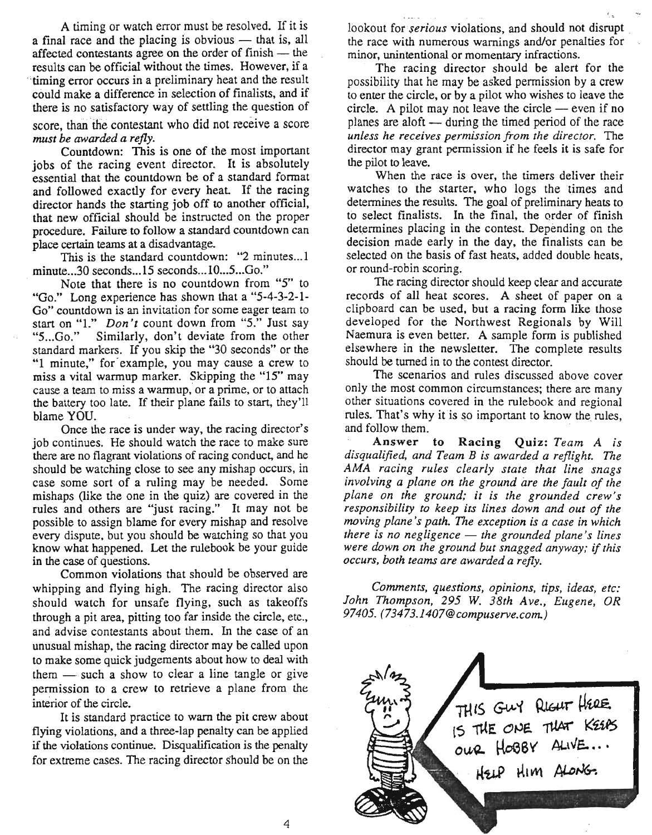A timing or watch error must be resolved. If it is a final race and the placing is obvious  $-$  that is, all affected contestants agree on the order of finish - the results can be official without the times. However, if a timing error occurs in a preliminary heat and the result could make a difference in selection of finalists, and if there is no satisfactory way of settling the question of score, than the contestant who did not receive a score

*must be awarded a refly.*

Countdown: This is one of the most important jobs of the racing event director. It is absolutely essential that the countdown be of a standard format and followed exactly for every heat. If the racing director hands the starting job off to another official, that new official should be instructed on the proper procedure. Failure to follow a standard countdown can place certain teams at a disadvantage.

This is the standard countdown: "2 minutes... l minute...30 seconds...15 seconds...IO...5...Go."

Note that there is no countdown from "5" to "Go." Long experience has shown that a "5-4-3-2-1- Go" countdown is an invitation for some eager team to start on "I." *Don't* count down from "5." Just say "5...Go." Similarly, don't deviate from the other standard markers. If you skip the ''30 seconds" or the "1 minute," for' example, you may cause a crew to miss a vital warmup marker. Skipping the "15" may cause a team to miss a warmup, or a prime, or to attach the battery too late. If their plane fails to start, they'll blame YOU.

Once the race is under way, the racing director's job continues. He should watch the race to make sure there are no flagrant violations of racing conduct, and he should be watching close to see any mishap occurs, in case some sort of a ruling may be needed. Some mishaps (like the one in the quiz) are covered in the rules and others are "just racing." It may not be possible to assign blame for every mishap and resolve every dispute, but you should be watching so that you know what happened. Let the rulebook be your guide in the case of questions.

Common violations that should be observed are whipping and flying high. The racing director also should watch for unsafe flying, such as takeoffs through a pit area, pitting too far inside the circle, etc., and advise contestants about them. In the case of an unusual mishap, the racing director may be called upon to make some quick judgements about how to deal with them  $-$  such a show to clear a line tangle or give permission to a crew to retrieve a plane from the interior of the circle.

It is standard practice to warn the pit crew about flying violations, and a three-lap penalty can be applied if the violations continue. Disqualification is the penalty for extreme cases. The racing director should be on the

lookout for *serious* violations, and should not disrupt. the race with numerous warnings and/or penalties for minor, unintentional or momentary infractions.

The racing director should be alert for the possibility that he may be asked permission by a crew to enter the circle, or by a pilot who wishes to leave the circle. A pilot may not leave the circle  $-$  even if no planes are aloft  $-$  during the timed period of the race *unless he receives permission from the director.* The director may grant permission if he feels it is safe for the pilot to leave.

When the race is over, the timers deliver their watches to the starter, who logs the times and determines the results. The goal of preliminary heats to to select finalists. In the final, the order of finish determines placing in the contest. Depending on the decision made early in the day, the finalists can be selected on the basis of fast heats, added double heats, or round-robin scoring.

The racing director should keep clear and accurate records of all heat scores. A sheet of paper on a clipboard can be used, but a racing form like those developed for the Northwest Regionals by Will Naemura is even better. A sample form is published elsewhere in the newsletter. The complete results should be turned in to the contest director.

The scenarios and rules discussed above cover only the most common circumstances; there are many other situations covered in the rulebook and regional rules. That's why it is so important to know the rules, and follow them.

Answer to Racing Quiz: *Team A is disqualified, and Team B is awarded a reflight.* The *AMA racing rules clearly state that line snags involving a plane on the ground are the fault of the plane on the ground; it is the grounded crew's responsibility to keep its lines down and out of the moving plane's path.* The *exception is a case in which there is no negligence* - *the grounded plane's lines were down on the ground but snagged anyway;* if *this occurs, both teams are awarded a refly.*

*Comments, questions, opinions. tips, ideas, etc: John Thompson,* 295 *W. 38th Ave., Eugene, OR 97405. (73473.1407@compuserve.com.)*

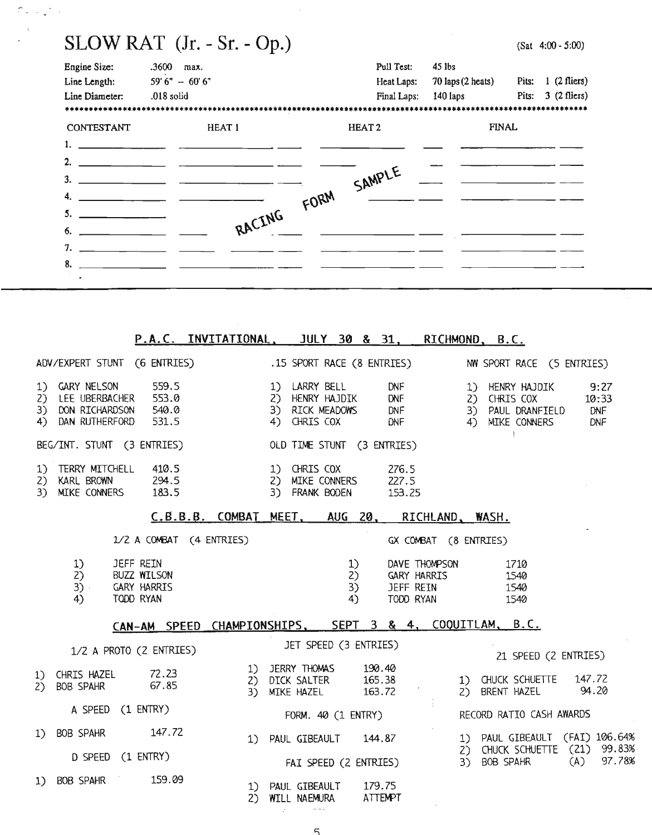|                             | $SLOW RAT$ (Jr. - Sr. - Op.) |  |                   |                                     | $(Sat 4:00 - 5:00)$            |  |  |
|-----------------------------|------------------------------|--|-------------------|-------------------------------------|--------------------------------|--|--|
| <b>Engine Size:</b>         | $.3600$ max.                 |  | Pull Test:        | $45$ lbs                            |                                |  |  |
| Line Length:                | $59'6'' - 60'6''$            |  | Heat Laps:        | $70 \text{ laps} (2 \text{ heats})$ | $1(2 \text{ fliers})$<br>Pits: |  |  |
| Line Diameter:              | .018 solid                   |  | Final Laps:       | 140 laps                            | Pits: $3(2 \text{ flies})$     |  |  |
|                             |                              |  |                   |                                     |                                |  |  |
| <b>CONTESTANT</b><br>HEAT 1 |                              |  | HEAT <sub>2</sub> | <b>FINAL</b>                        |                                |  |  |
|                             |                              |  |                   |                                     |                                |  |  |
|                             |                              |  |                   |                                     |                                |  |  |
| $3.$ $\qquad \qquad$        |                              |  | SAMPLE            |                                     |                                |  |  |
|                             | RACING FORM                  |  |                   |                                     |                                |  |  |
|                             |                              |  |                   |                                     |                                |  |  |
|                             |                              |  |                   |                                     |                                |  |  |
| 7. $\frac{1}{\sqrt{2\pi}}$  |                              |  |                   |                                     |                                |  |  |
| 8.                          |                              |  |                   |                                     |                                |  |  |
|                             |                              |  |                   |                                     |                                |  |  |
|                             |                              |  |                   |                                     |                                |  |  |

 $\sim$  4.

 $\hat{r}$  ,  $\hat{\phi}$  ,  $\hat{\phi}$ 

 $\bar{z}$ 

|     |                                                                                     |                                                             |                         | P.A.C. INVITATIONAL, JULY 30 & 31, RICHMOND, B.C.       |                 |                                                                                       |                      |                |                 |                                                               |                                 |                                                                                            |            |                             |
|-----|-------------------------------------------------------------------------------------|-------------------------------------------------------------|-------------------------|---------------------------------------------------------|-----------------|---------------------------------------------------------------------------------------|----------------------|----------------|-----------------|---------------------------------------------------------------|---------------------------------|--------------------------------------------------------------------------------------------|------------|-----------------------------|
|     |                                                                                     |                                                             |                         | ADV/EXPERT STUNT (6 ENTRIES) .15 SPORT RACE (8 ENTRIES) |                 |                                                                                       |                      |                |                 |                                                               |                                 | NW SPORT RACE (5 ENTRIES)                                                                  |            |                             |
|     | 1) GARY NELSON<br>2) LEE UBERBACHER 553.0<br>3) DON RICHARDSON<br>4) DAN RUTHERFORD |                                                             | 559.5<br>540.0<br>531.5 |                                                         |                 | 1) LARRY BELL<br>2) HENRY HAJDIK DNF<br>3) RICK MEADOWS DNF<br>4) CHRIS COX DNF       |                      |                | <b>DNF</b>      |                                                               | 2) CHRIS COX<br>4) MIKE CONNERS | 1) HENRY HAJDIK<br>3) PAUL DRANFIELD                                                       | <b>DNF</b> | 9:27<br>10:33<br><b>DNF</b> |
|     | BEG/INT. STUNT (3 ENTRIES)                                                          |                                                             |                         |                                                         |                 | OLD TIME STUNT (3 ENTRIES)                                                            |                      |                |                 |                                                               | $\mathbf{E}$                    |                                                                                            |            |                             |
|     | 1) TERRY MITCHELL 410.5<br>2) KARL BROWN 294.5<br>3) MIKE CONNERS                   |                                                             | 183.5                   |                                                         |                 | 1) CHRIS COX<br>2) MIKE CONNERS 227.5<br>3) FRANK BODEN                               |                      |                | 276.5<br>153.25 |                                                               |                                 |                                                                                            |            |                             |
|     |                                                                                     |                                                             |                         | C.B.B.B. COMBAT MEET, AUG 20, RICHLAND, WASH.           |                 |                                                                                       |                      |                |                 |                                                               |                                 |                                                                                            |            |                             |
|     |                                                                                     |                                                             |                         | 1/2 A COMBAT (4 ENTRIES)                                |                 |                                                                                       |                      |                |                 |                                                               | GX COMBAT (8 ENTRIES)           |                                                                                            |            |                             |
|     | 1)<br>2)<br>3)<br>4)                                                                | JEFF REIN<br>BUZZ WILSON<br><b>GARY HARRIS</b><br>TODD RYAN |                         |                                                         |                 |                                                                                       | 1)<br>2)<br>3)<br>4) |                |                 | DAVE THOMPSON<br><b>GARY HARRIS</b><br>JEFF REIN<br>TODD RYAN | 1710<br>1540<br>1540<br>1540    |                                                                                            |            |                             |
|     |                                                                                     |                                                             |                         | CAN-AM SPEED CHAMPIONSHIPS, SEPT 3 & 4, COQUITLAM, B.C. |                 |                                                                                       |                      |                |                 |                                                               |                                 |                                                                                            |            |                             |
|     |                                                                                     |                                                             | 1/2 A PROTO (2 ENTRIES) |                                                         |                 | JET SPEED (3 ENTRIES)                                                                 |                      |                |                 |                                                               |                                 | 21 SPEED (2 ENTRIES)                                                                       |            |                             |
| (2) | 1) CHRIS HAZEL<br><b>BOB SPAHR</b>                                                  |                                                             | 72.23<br>67.85          | 3)                                                      |                 | 1) JERRY THOMAS 190.40<br>2) DICK SALTER 165.38<br>MIKE HAZEL                         |                      | 163.72         |                 |                                                               | 2) BRENT HAZEL                  | 1) CHUCK SCHUETTE 147.72                                                                   | 94.20      |                             |
|     |                                                                                     |                                                             | A SPEED (1 ENTRY)       |                                                         |                 | FORM. 40 (1 ENTRY)                                                                    |                      |                |                 |                                                               |                                 | RECORD RATIO CASH AWARDS                                                                   |            |                             |
|     | 1) BOB SPAHR 147.72                                                                 |                                                             | D SPEED (1 ENTRY)       |                                                         |                 | 1) PAUL GIBEAULT 144.87                                                               |                      |                |                 |                                                               |                                 | 1) PAUL GIBEAULT (FAI) 106.64%<br>2) CHUCK SCHUETTE (21) 99.83%<br>3) BOB SPAHR (A) 97.78% |            |                             |
| 1   | BOB SPAHR 159.09                                                                    |                                                             |                         | 2                                                       | $\sim 10^{-11}$ | FAI SPEED (2 ENTRIES)<br>1) PAUL GIBEAULT 179.75<br>WILL NAEMURA<br><b>Contractor</b> |                      | <b>ATTEMPT</b> |                 |                                                               |                                 |                                                                                            |            |                             |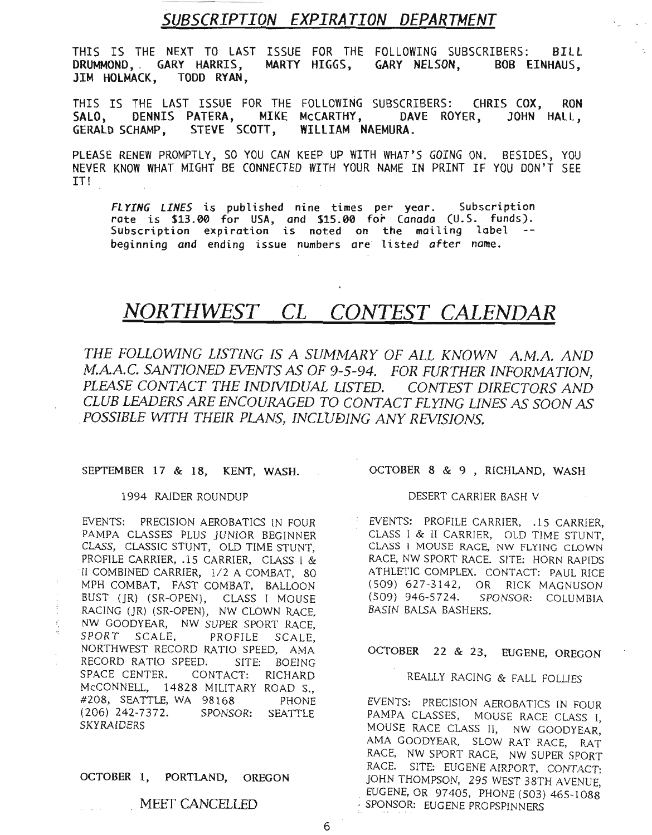# *SUBSCRIPTION EXPIRATION DEPARTMENT*

THIS IS THE NEXT TO LAST ISSUE FOR THE FOLLOWING SUBSCRIBERS: BILL DRUMMOND,. GARY HARRIS, MARTY HIGGS, GARY NELSON, BOB EINHAUS, JIM HOLMACK, TODD RYAN ,

THIS IS THE LAST ISSUE FOR THE FOLLOWING SUBSCRIBERS: CHRIS COX, RON SALO, DENNIS PATERA, MIKE McCARTHY, DAVE ROYER, JOHN HALL, GERALD SCHAMP, STEVE SCOTT, WILLIAM NAEMURA.

PLEASE RENEW PROMPTLY, SO YOU CAN KEEP UP WITH WHAT'S GOING ON. BESIDES, YOU NEVER KNOW WHAT MIGHT BE CONNECTED WITH YOUR NAME IN PRINT IF YOU DON'T SEE IT!

FLYING LINES is published nine times per year. Subscription rate is \$13.00 for USA, and \$15.00 for Canada (U.S. funds). Subscription expiration is noted on the mailing label -beginning and ending issue numbers are listed after name.

# *NORTHWEST CL CONTEST CALENDAR*

*THE FOLLOWING LISTING IS A SUMMARY OF ALL KNOWN A.M.A. AND M.A.A.C. SANTIONED EVENTS* AS *OF* 9-5-94. *FOR FURTHER INFORMATION, PLEASE CONTACT THE INDIVIDUAL LISTED. CONTEST DIRECTORS AND CLUB LEADERS ARE ENCOURAGED TO CONTACT FLYING LINES AS SOON AS .POSSIBLE WITH THEIR PLANS, INCLUEJING ANY REVISIONS.*

#### SEPTEMBER 17 & 18, KENT, WASH.

#### 1994 RAIDER ROUNDUP

EVENTS: PRECISION AEROBATICS IN FOUR PAMPA CLASSES PLUS JUNIOR BEGINNER CLASS, CLASSIC STUNT, OLD TIME STUNT, PROFILE CARRIER, .15 CARRIER, CLASS I & II COMBINED CARRIER, 1/2 A COMBAT, 80 MPH COMBAT, FAST COMBAT, BALLOON BUST (JR) (SR-OPEN), CLASS I MOUSE RACING (JR) (SR-OPEN), NW CLOWN RACE, NW GOODYEAR, NW SUPER SPORT RACE, SPORT SCALE, PROFILE SCALE, NORTHWEST RECORD RATIO SPEED, AMA RECORD RATIO SPEED. SITE: BOEING SPACE CENTER. CONTACT: RICHARD McCONNELL, 14828 MILITARY ROAD S., #208, SEATTLE, WA 98168 PHONE SPONSOR: SEATTLE SKYRAIDERS

#### OCTOBER 1, PORTLAND, OREGON

### *MEET* CANCELLED

#### OCTOBER 8 & 9 , RICHLAND, WASH

#### DESERT CARRIER BASH V

EVENTS: PROFILE CARRIER, .15 CARRIER, CLASS I & II CARRIER, OLD TIME STUNT, CLASS I MOUSE RACE, NW FLYING CLOWN RACE, NW SPORT RACE. SITE: HORN RAPIDS ATHLETIC COMPLEX. CONTACT: PAUL RICE (509) 627-3142, OR RICK MAGNUSON (509) 946-5724. SPONSOR: COLUMBIA BASIN BALSA BASHERS.

## OCTOBER 22 & 23, EUGENE, OREGON

## REALLY RACING & FALL FOLUES

EVENTS: PRECISION AEROBATICS IN FOUR PAMPA CLASSES, MOUSE RACE CLASS I, MOUSE RACE CLASS II, NW GOODYEAR: AMA GOODYEAR, SLOW RAT RACE, RAT RACE, NW SPORT RACE, NW SUPER SPORT RACE. SITE: EUGENE AIRPORT, CONTACT: JOHN THOMPSON, 295 WEST 38TH AVENUE, . EUGENE, OR 97405, PHONE (503) 465-1088 ,SPONSOR: EUGENE PROPSPINNERS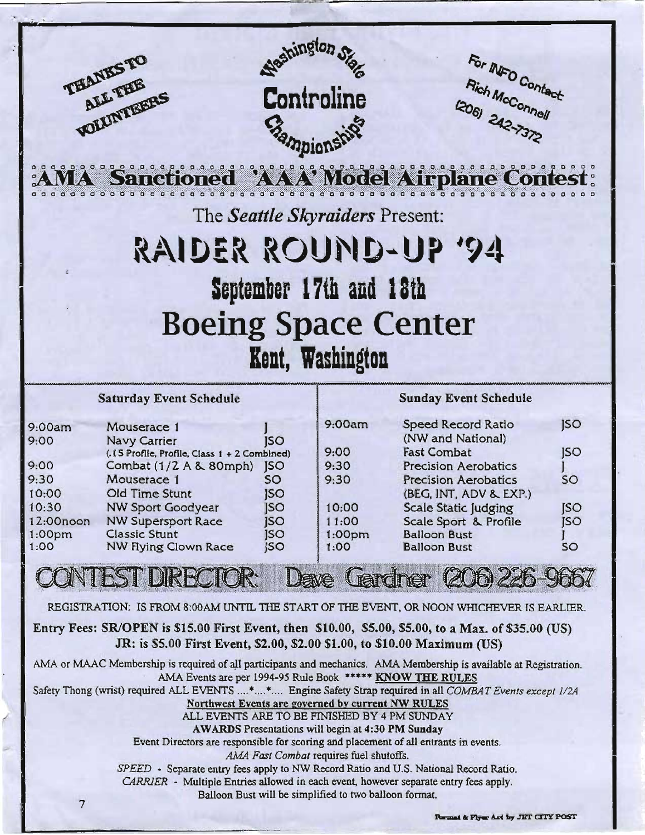|                            | THANKSTO<br>ALL THE<br>VOLUNTEERS                                         | <b>Stampionship</b>      | Nashington Star<br>Controline                                                                     | For INFO Contact<br>Rich McConnell<br>$206$ $242 - 7372$                                                                                                                                                                        |            |  |  |  |  |  |
|----------------------------|---------------------------------------------------------------------------|--------------------------|---------------------------------------------------------------------------------------------------|---------------------------------------------------------------------------------------------------------------------------------------------------------------------------------------------------------------------------------|------------|--|--|--|--|--|
|                            |                                                                           |                          |                                                                                                   | AMA Sanctioned AAA Model Airplane Contest:                                                                                                                                                                                      |            |  |  |  |  |  |
|                            | The <i>Seattle Skyraiders</i> Present:                                    |                          |                                                                                                   |                                                                                                                                                                                                                                 |            |  |  |  |  |  |
|                            | RAIDER ROUND-UP '94                                                       |                          |                                                                                                   |                                                                                                                                                                                                                                 |            |  |  |  |  |  |
|                            |                                                                           |                          |                                                                                                   |                                                                                                                                                                                                                                 |            |  |  |  |  |  |
|                            |                                                                           |                          | September 17th and 18th                                                                           |                                                                                                                                                                                                                                 |            |  |  |  |  |  |
|                            | <b>Boeing Space Center</b>                                                |                          |                                                                                                   |                                                                                                                                                                                                                                 |            |  |  |  |  |  |
|                            |                                                                           |                          |                                                                                                   |                                                                                                                                                                                                                                 |            |  |  |  |  |  |
|                            |                                                                           |                          | Kent, Washington                                                                                  |                                                                                                                                                                                                                                 |            |  |  |  |  |  |
|                            | <b>Saturday Event Schedule</b>                                            |                          |                                                                                                   | <b>Sunday Event Schedule</b>                                                                                                                                                                                                    |            |  |  |  |  |  |
|                            |                                                                           |                          |                                                                                                   |                                                                                                                                                                                                                                 |            |  |  |  |  |  |
| 9:00am                     | Mouserace 1                                                               |                          | 9:00am                                                                                            | <b>Speed Record Ratio</b>                                                                                                                                                                                                       | <b>ISO</b> |  |  |  |  |  |
| 9:00                       | <b>Navy Carrier</b><br>(.15 Profile, Profile, Class 1 + 2 Combined)       | <b>ISO</b>               | 9:00                                                                                              | (NW and National)<br><b>Fast Combat</b>                                                                                                                                                                                         | SO         |  |  |  |  |  |
| 9:00                       | Combat (1/2 A & 80mph)                                                    | <b>JSO</b>               | 9:30                                                                                              | <b>Precision Aerobatics</b>                                                                                                                                                                                                     |            |  |  |  |  |  |
| 9:30                       | Mouserace 1                                                               | <b>SO</b>                | 9:30                                                                                              | <b>Precision Aerobatics</b>                                                                                                                                                                                                     | SO         |  |  |  |  |  |
| 10:00<br>10:30             | Old Time Stunt<br><b>NW Sport Goodyear</b>                                | <b>ISO</b><br><b>ISO</b> | 10:00                                                                                             | (BEG, INT, ADV & EXP.)<br><b>Scale Static Judging</b>                                                                                                                                                                           | <b>JSO</b> |  |  |  |  |  |
| 12:00noon                  | <b>NW Supersport Race</b>                                                 | <b>ISO</b>               | 11:00                                                                                             | Scale Sport & Profile                                                                                                                                                                                                           | <b>JSO</b> |  |  |  |  |  |
| 1:00 <sub>pm</sub><br>1:00 | <b>Classic Stunt</b><br><b>NW Flying Clown Race</b>                       | <b>ISO</b><br>SO         | 1:00 <sub>pm</sub><br>1:00                                                                        | <b>Balloon Bust</b><br><b>Balloon Bust</b>                                                                                                                                                                                      | SO         |  |  |  |  |  |
|                            | <b>INTEST DIRECTOR:</b>                                                   |                          |                                                                                                   |                                                                                                                                                                                                                                 |            |  |  |  |  |  |
|                            |                                                                           |                          |                                                                                                   | Gardner (206) 226-966                                                                                                                                                                                                           |            |  |  |  |  |  |
|                            | JR: is \$5.00 First Event, \$2.00, \$2.00 \$1.00, to \$10.00 Maximum (US) |                          |                                                                                                   | REGISTRATION: IS FROM 8:00 AM UNTIL THE START OF THE EVENT, OR NOON WHICHEVER IS EARLIER.<br>Entry Fees: SR/OPEN is \$15.00 First Event, then \$10.00, \$5.00, \$5.00, to a Max. of \$35.00 (US)                                |            |  |  |  |  |  |
|                            | AMA Events are per 1994-95 Rule Book ***** KNOW THE RULES                 |                          | Northwest Events are governed by current NW RULES                                                 | AMA or MAAC Membership is required of all participants and mechanics. AMA Membership is available at Registration.<br>Safety Thong (wrist) required ALL EVENTS ** Engine Safety Strap required in all COMBAT Events except 1/2A |            |  |  |  |  |  |
|                            |                                                                           |                          | ALL EVENTS ARE TO BE FINISHED BY 4 PM SUNDAY<br>AWARDS Presentations will begin at 4:30 PM Sunday |                                                                                                                                                                                                                                 |            |  |  |  |  |  |

*AM4 Fast Combat* requires fuel shutoffs.

*SPEED* - Separate entry fees apply to NW Record Ratio and U.S. National Record Ratio. *CARRIER* - Multiple Entries allowed in each event, however separate entry fees apply. Balloon Bust will be simplified to two balloon format.

7

, I